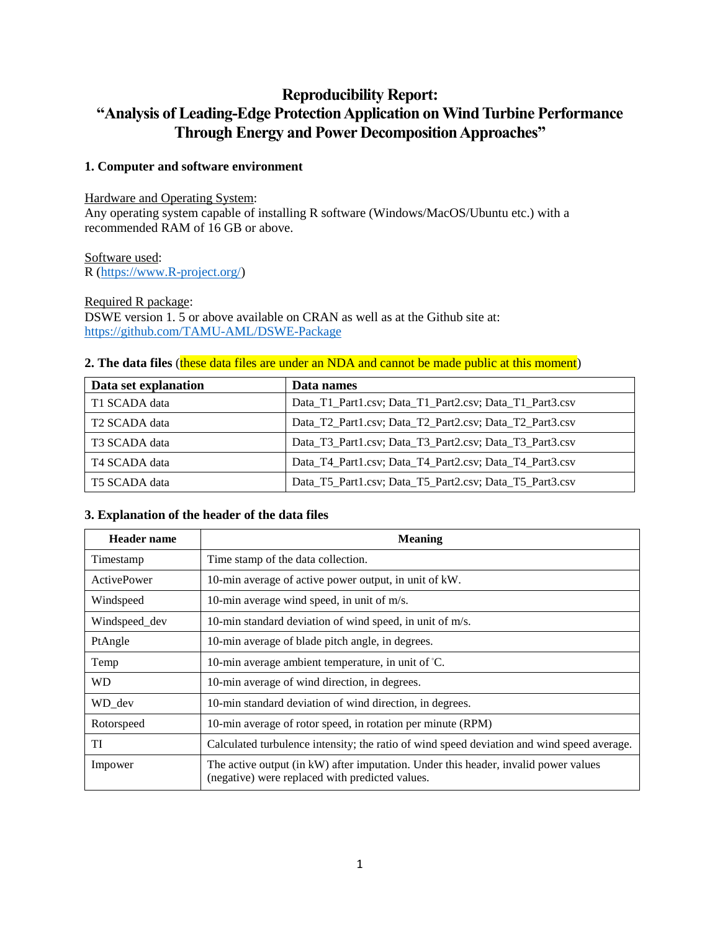# **Reproducibility Report: "Analysis of Leading-Edge Protection Application on Wind Turbine Performance Through Energy and Power Decomposition Approaches"**

# **1. Computer and software environment**

# Hardware and Operating System:

Any operating system capable of installing R software (Windows/MacOS/Ubuntu etc.) with a recommended RAM of 16 GB or above.

# Software used:

R [\(https://www.R-project.org/\)](https://www.r-project.org/)

#### Required R package:

DSWE version 1. 5 or above available on CRAN as well as at the Github site at: <https://github.com/TAMU-AML/DSWE-Package>

## **2. The data files** (these data files are under an NDA and cannot be made public at this moment)

| Data set explanation      | Data names                                              |
|---------------------------|---------------------------------------------------------|
| T1 SCADA data             | Data_T1_Part1.csv; Data_T1_Part2.csv; Data_T1_Part3.csv |
| T <sub>2</sub> SCADA data | Data_T2_Part1.csv; Data_T2_Part2.csv; Data_T2_Part3.csv |
| T3 SCADA data             | Data_T3_Part1.csv; Data_T3_Part2.csv; Data_T3_Part3.csv |
| T4 SCADA data             | Data_T4_Part1.csv; Data_T4_Part2.csv; Data_T4_Part3.csv |
| T5 SCADA data             | Data_T5_Part1.csv; Data_T5_Part2.csv; Data_T5_Part3.csv |

#### **3. Explanation of the header of the data files**

| <b>Header name</b> | <b>Meaning</b>                                                                                                                         |  |  |
|--------------------|----------------------------------------------------------------------------------------------------------------------------------------|--|--|
| Timestamp          | Time stamp of the data collection.                                                                                                     |  |  |
| ActivePower        | 10-min average of active power output, in unit of kW.                                                                                  |  |  |
| Windspeed          | 10-min average wind speed, in unit of m/s.                                                                                             |  |  |
| Windspeed_dev      | 10-min standard deviation of wind speed, in unit of m/s.                                                                               |  |  |
| PtAngle            | 10-min average of blade pitch angle, in degrees.                                                                                       |  |  |
| Temp               | 10-min average ambient temperature, in unit of $°C$ .                                                                                  |  |  |
| <b>WD</b>          | 10-min average of wind direction, in degrees.                                                                                          |  |  |
| WD_dev             | 10-min standard deviation of wind direction, in degrees.                                                                               |  |  |
| Rotorspeed         | 10-min average of rotor speed, in rotation per minute (RPM)                                                                            |  |  |
| <b>TI</b>          | Calculated turbulence intensity; the ratio of wind speed deviation and wind speed average.                                             |  |  |
| Impower            | The active output (in kW) after imputation. Under this header, invalid power values<br>(negative) were replaced with predicted values. |  |  |